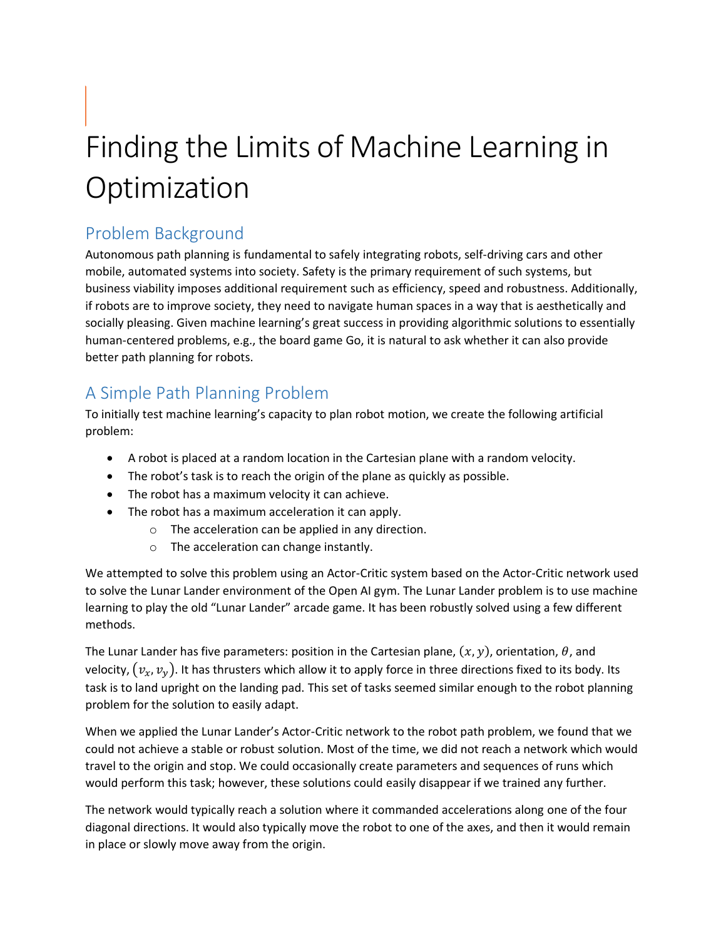# Finding the Limits of Machine Learning in **Optimization**

# Problem Background

Autonomous path planning is fundamental to safely integrating robots, self-driving cars and other mobile, automated systems into society. Safety is the primary requirement of such systems, but business viability imposes additional requirement such as efficiency, speed and robustness. Additionally, if robots are to improve society, they need to navigate human spaces in a way that is aesthetically and socially pleasing. Given machine learning's great success in providing algorithmic solutions to essentially human-centered problems, e.g., the board game Go, it is natural to ask whether it can also provide better path planning for robots.

# A Simple Path Planning Problem

To initially test machine learning's capacity to plan robot motion, we create the following artificial problem:

- A robot is placed at a random location in the Cartesian plane with a random velocity.
- The robot's task is to reach the origin of the plane as quickly as possible.
- The robot has a maximum velocity it can achieve.
- The robot has a maximum acceleration it can apply.
	- o The acceleration can be applied in any direction.
	- o The acceleration can change instantly.

We attempted to solve this problem using an Actor-Critic system based on the Actor-Critic network used to solve the Lunar Lander environment of the Open AI gym. The Lunar Lander problem is to use machine learning to play the old "Lunar Lander" arcade game. It has been robustly solved using a few different methods.

The Lunar Lander has five parameters: position in the Cartesian plane,  $(x, y)$ , orientation,  $\theta$ , and velocity,  $(v_x, v_y)$ . It has thrusters which allow it to apply force in three directions fixed to its body. Its task is to land upright on the landing pad. This set of tasks seemed similar enough to the robot planning problem for the solution to easily adapt.

When we applied the Lunar Lander's Actor-Critic network to the robot path problem, we found that we could not achieve a stable or robust solution. Most of the time, we did not reach a network which would travel to the origin and stop. We could occasionally create parameters and sequences of runs which would perform this task; however, these solutions could easily disappear if we trained any further.

The network would typically reach a solution where it commanded accelerations along one of the four diagonal directions. It would also typically move the robot to one of the axes, and then it would remain in place or slowly move away from the origin.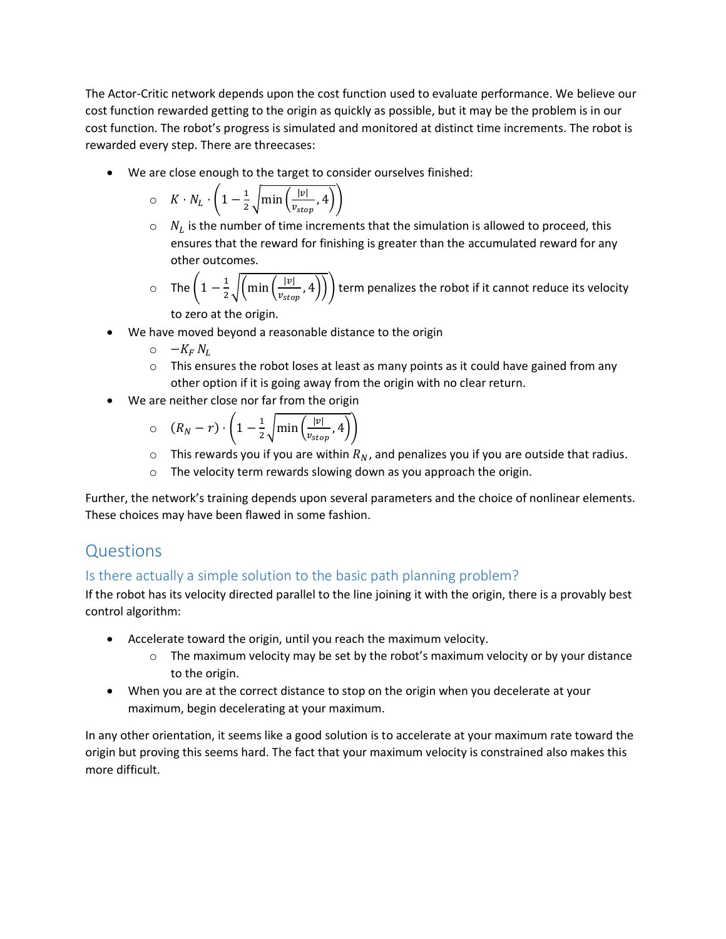The Actor-Critic network depends upon the cost function used to evaluate performance. We believe our cost function rewarded getting to the origin as quickly as possible, but it may be the problem is in our cost function. The robot's progress is simulated and monitored at distinct time increments. The robot is rewarded every step. There are threecases:

• We are close enough to the target to consider ourselves finished:

$$
\circ \quad K \cdot N_L \cdot \left(1 - \frac{1}{2} \sqrt{\min\left(\frac{|v|}{v_{stop}}, 4\right)}\right)
$$

- $\circ$   $N_L$  is the number of time increments that the simulation is allowed to proceed, this ensures that the reward for finishing is greater than the accumulated reward for any other outcomes.
- o The  $\left(1-\frac{1}{2}\right)$  $\frac{1}{2}\sqrt{\left(\min\left(\frac{|v|}{v_{sto}}\right)\right)}$  $\left(\frac{|\nu|}{v_{stop}}\right)$ , 4))) term penalizes the robot if it cannot reduce its velocity to zero at the origin.
- We have moved beyond a reasonable distance to the origin
	- $\circ$   $-K_F N_L$
	- $\circ$  This ensures the robot loses at least as many points as it could have gained from any other option if it is going away from the origin with no clear return.
- We are neither close nor far from the origin

$$
\circ \quad (R_N - r) \cdot \left(1 - \frac{1}{2} \sqrt{\min\left(\frac{|v|}{v_{stop}}, 4\right)}\right)
$$

- $\circ$  This rewards you if you are within  $R_N$ , and penalizes you if you are outside that radius.
- o The velocity term rewards slowing down as you approach the origin.

Further, the network's training depends upon several parameters and the choice of nonlinear elements. These choices may have been flawed in some fashion.

# Questions

## Is there actually a simple solution to the basic path planning problem?

If the robot has its velocity directed parallel to the line joining it with the origin, there is a provably best control algorithm:

- Accelerate toward the origin, until you reach the maximum velocity.
	- $\circ$  The maximum velocity may be set by the robot's maximum velocity or by your distance to the origin.
- When you are at the correct distance to stop on the origin when you decelerate at your maximum, begin decelerating at your maximum.

In any other orientation, it seems like a good solution is to accelerate at your maximum rate toward the origin but proving this seems hard. The fact that your maximum velocity is constrained also makes this more difficult.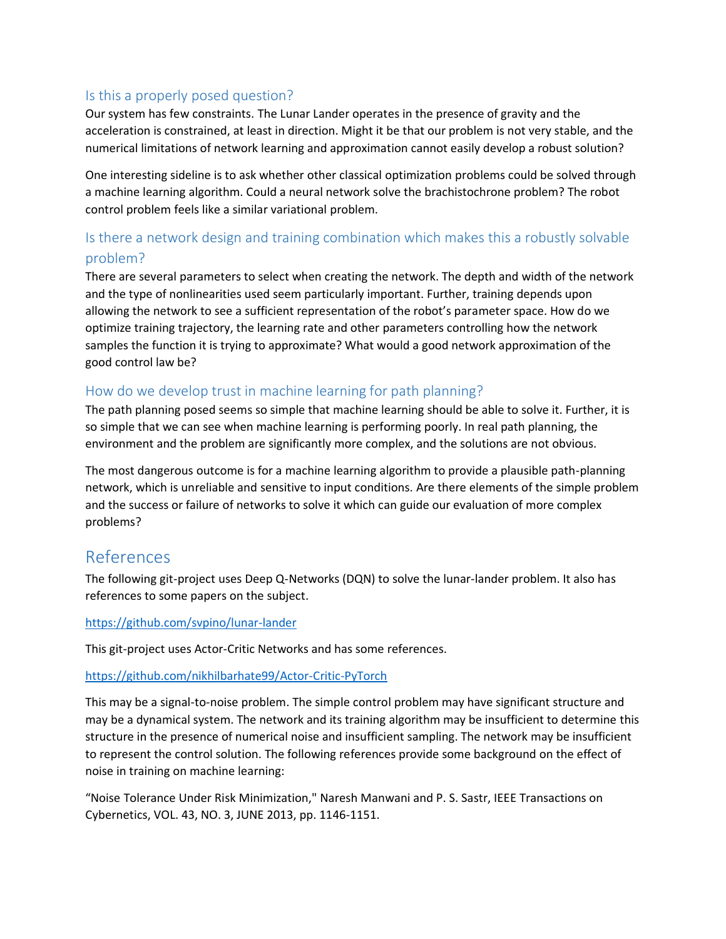### Is this a properly posed question?

Our system has few constraints. The Lunar Lander operates in the presence of gravity and the acceleration is constrained, at least in direction. Might it be that our problem is not very stable, and the numerical limitations of network learning and approximation cannot easily develop a robust solution?

One interesting sideline is to ask whether other classical optimization problems could be solved through a machine learning algorithm. Could a neural network solve the brachistochrone problem? The robot control problem feels like a similar variational problem.

## Is there a network design and training combination which makes this a robustly solvable problem?

There are several parameters to select when creating the network. The depth and width of the network and the type of nonlinearities used seem particularly important. Further, training depends upon allowing the network to see a sufficient representation of the robot's parameter space. How do we optimize training trajectory, the learning rate and other parameters controlling how the network samples the function it is trying to approximate? What would a good network approximation of the good control law be?

#### How do we develop trust in machine learning for path planning?

The path planning posed seems so simple that machine learning should be able to solve it. Further, it is so simple that we can see when machine learning is performing poorly. In real path planning, the environment and the problem are significantly more complex, and the solutions are not obvious.

The most dangerous outcome is for a machine learning algorithm to provide a plausible path-planning network, which is unreliable and sensitive to input conditions. Are there elements of the simple problem and the success or failure of networks to solve it which can guide our evaluation of more complex problems?

## References

The following git-project uses Deep Q-Networks (DQN) to solve the lunar-lander problem. It also has references to some papers on the subject.

#### <https://github.com/svpino/lunar-lander>

This git-project uses Actor-Critic Networks and has some references.

#### <https://github.com/nikhilbarhate99/Actor-Critic-PyTorch>

This may be a signal-to-noise problem. The simple control problem may have significant structure and may be a dynamical system. The network and its training algorithm may be insufficient to determine this structure in the presence of numerical noise and insufficient sampling. The network may be insufficient to represent the control solution. The following references provide some background on the effect of noise in training on machine learning:

"Noise Tolerance Under Risk Minimization," Naresh Manwani and P. S. Sastr, IEEE Transactions on Cybernetics, VOL. 43, NO. 3, JUNE 2013, pp. 1146-1151.